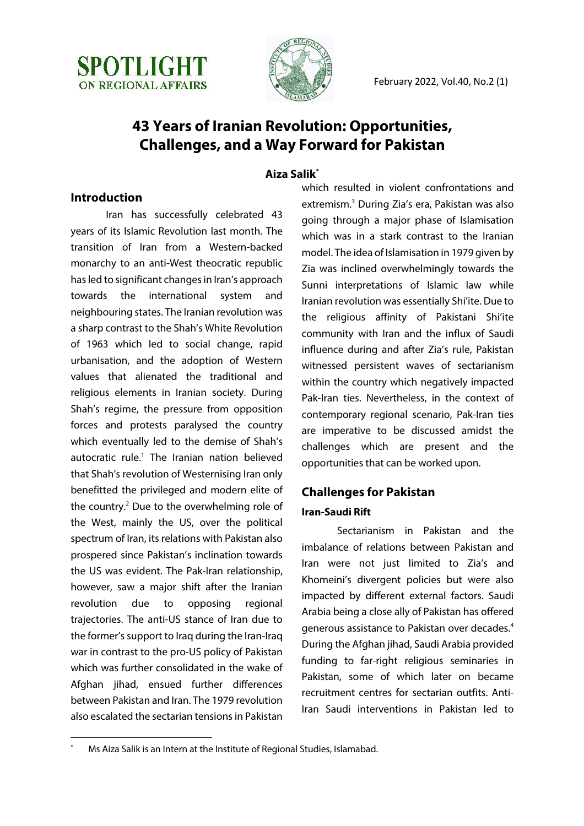



# **43 Years of Iranian Revolution: Opportunities, Challenges, and a Way Forward for Pakistan**

## **Aiza Salik\***

# **Introduction**

Iran has successfully celebrated 43 years of its Islamic Revolution last month. The transition of Iran from a Western-backed monarchy to an anti-West theocratic republic has led to significant changes in Iran's approach towards the international system and neighbouring states. The Iranian revolution was a sharp contrast to the Shah's White Revolution of 1963 which led to social change, rapid urbanisation, and the adoption of Western values that alienated the traditional and religious elements in Iranian society. During Shah's regime, the pressure from opposition forces and protests paralysed the country which eventually led to the demise of Shah's autocratic rule.<sup>1</sup> The Iranian nation believed that Shah's revolution of Westernising Iran only benefitted the privileged and modern elite of the country.<sup>2</sup> Due to the overwhelming role of the West, mainly the US, over the political spectrum of Iran, its relations with Pakistan also prospered since Pakistan's inclination towards the US was evident. The Pak-Iran relationship, however, saw a major shift after the Iranian revolution due to opposing regional trajectories. The anti-US stance of Iran due to the former's support to Iraq during the Iran-Iraq war in contrast to the pro-US policy of Pakistan which was further consolidated in the wake of Afghan jihad, ensued further differences between Pakistan and Iran. The 1979 revolution also escalated the sectarian tensions in Pakistan

which resulted in violent confrontations and extremism.3 During Zia's era, Pakistan was also going through a major phase of Islamisation which was in a stark contrast to the Iranian model. The idea of Islamisation in 1979 given by Zia was inclined overwhelmingly towards the Sunni interpretations of Islamic law while Iranian revolution was essentially Shi'ite. Due to the religious affinity of Pakistani Shi'ite community with Iran and the influx of Saudi influence during and after Zia's rule, Pakistan witnessed persistent waves of sectarianism within the country which negatively impacted Pak-Iran ties. Nevertheless, in the context of contemporary regional scenario, Pak-Iran ties are imperative to be discussed amidst the challenges which are present and the opportunities that can be worked upon.

# **Challenges for Pakistan Iran-Saudi Rift**

Sectarianism in Pakistan and the imbalance of relations between Pakistan and Iran were not just limited to Zia's and Khomeini's divergent policies but were also impacted by different external factors. Saudi Arabia being a close ally of Pakistan has offered generous assistance to Pakistan over decades.4 During the Afghan jihad, Saudi Arabia provided funding to far-right religious seminaries in Pakistan, some of which later on became recruitment centres for sectarian outfits. Anti-Iran Saudi interventions in Pakistan led to

Ms Aiza Salik is an Intern at the Institute of Regional Studies, Islamabad.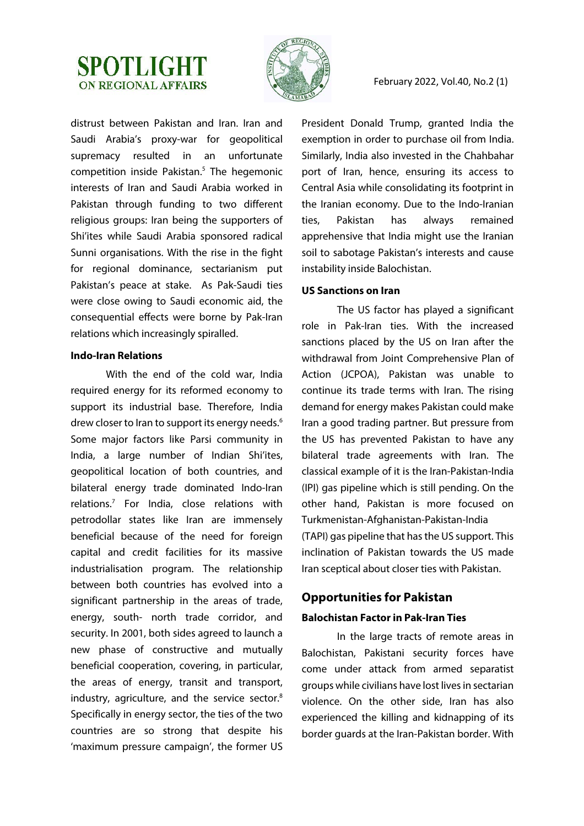



distrust between Pakistan and Iran. Iran and Saudi Arabia's proxy-war for geopolitical supremacy resulted in an unfortunate competition inside Pakistan.<sup>5</sup> The hegemonic interests of Iran and Saudi Arabia worked in Pakistan through funding to two different religious groups: Iran being the supporters of Shi'ites while Saudi Arabia sponsored radical Sunni organisations. With the rise in the fight for regional dominance, sectarianism put Pakistan's peace at stake. As Pak-Saudi ties were close owing to Saudi economic aid, the consequential effects were borne by Pak-Iran relations which increasingly spiralled.

#### **Indo-Iran Relations**

With the end of the cold war, India required energy for its reformed economy to support its industrial base. Therefore, India drew closer to Iran to support its energy needs.<sup>6</sup> Some major factors like Parsi community in India, a large number of Indian Shi'ites, geopolitical location of both countries, and bilateral energy trade dominated Indo-Iran relations.7 For India, close relations with petrodollar states like Iran are immensely beneficial because of the need for foreign capital and credit facilities for its massive industrialisation program. The relationship between both countries has evolved into a significant partnership in the areas of trade, energy, south- north trade corridor, and security. In 2001, both sides agreed to launch a new phase of constructive and mutually beneficial cooperation, covering, in particular, the areas of energy, transit and transport, industry, agriculture, and the service sector.<sup>8</sup> Specifically in energy sector, the ties of the two countries are so strong that despite his 'maximum pressure campaign', the former US

President Donald Trump, granted India the exemption in order to purchase oil from India. Similarly, India also invested in the Chahbahar port of Iran, hence, ensuring its access to Central Asia while consolidating its footprint in the Iranian economy. Due to the Indo-Iranian ties, Pakistan has always remained apprehensive that India might use the Iranian soil to sabotage Pakistan's interests and cause instability inside Balochistan.

#### **US Sanctions on Iran**

The US factor has played a significant role in Pak-Iran ties. With the increased sanctions placed by the US on Iran after the withdrawal from Joint Comprehensive Plan of Action (JCPOA), Pakistan was unable to continue its trade terms with Iran. The rising demand for energy makes Pakistan could make Iran a good trading partner. But pressure from the US has prevented Pakistan to have any bilateral trade agreements with Iran. The classical example of it is the Iran-Pakistan-India (IPI) gas pipeline which is still pending. On the other hand, Pakistan is more focused on Turkmenistan-Afghanistan-Pakistan-India (TAPI) gas pipeline that has the US support. This inclination of Pakistan towards the US made Iran sceptical about closer ties with Pakistan.

## **Opportunities for Pakistan**

#### **Balochistan Factor in Pak-Iran Ties**

In the large tracts of remote areas in Balochistan, Pakistani security forces have come under attack from armed separatist groups while civilians have lost lives in sectarian violence. On the other side, Iran has also experienced the killing and kidnapping of its border guards at the Iran-Pakistan border. With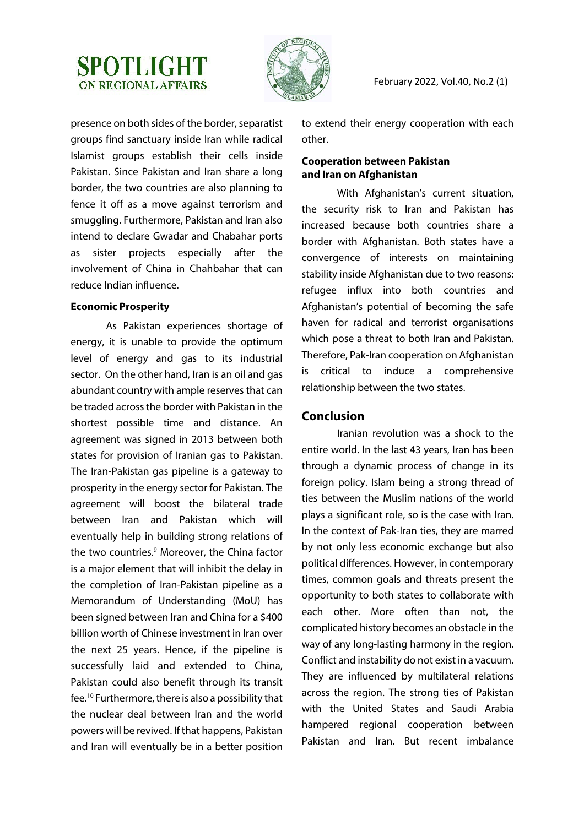# **SPOTLIGHT ON REGIONAL AFFAIRS**



February 2022, Vol.40, No.2 (1)

presence on both sides of the border, separatist groups find sanctuary inside Iran while radical Islamist groups establish their cells inside Pakistan. Since Pakistan and Iran share a long border, the two countries are also planning to fence it off as a move against terrorism and smuggling. Furthermore, Pakistan and Iran also intend to declare Gwadar and Chabahar ports as sister projects especially after the involvement of China in Chahbahar that can reduce Indian influence.

#### **Economic Prosperity**

As Pakistan experiences shortage of energy, it is unable to provide the optimum level of energy and gas to its industrial sector. On the other hand, Iran is an oil and gas abundant country with ample reserves that can be traded across the border with Pakistan in the shortest possible time and distance. An agreement was signed in 2013 between both states for provision of Iranian gas to Pakistan. The Iran-Pakistan gas pipeline is a gateway to prosperity in the energy sector for Pakistan. The agreement will boost the bilateral trade between Iran and Pakistan which will eventually help in building strong relations of the two countries.<sup>9</sup> Moreover, the China factor is a major element that will inhibit the delay in the completion of Iran-Pakistan pipeline as a Memorandum of Understanding (MoU) has been signed between Iran and China for a \$400 billion worth of Chinese investment in Iran over the next 25 years. Hence, if the pipeline is successfully laid and extended to China, Pakistan could also benefit through its transit fee.10 Furthermore, there is also a possibility that the nuclear deal between Iran and the world powers will be revived. If that happens, Pakistan and Iran will eventually be in a better position to extend their energy cooperation with each other.

### **Cooperation between Pakistan and Iran on Afghanistan**

With Afghanistan's current situation, the security risk to Iran and Pakistan has increased because both countries share a border with Afghanistan. Both states have a convergence of interests on maintaining stability inside Afghanistan due to two reasons: refugee influx into both countries and Afghanistan's potential of becoming the safe haven for radical and terrorist organisations which pose a threat to both Iran and Pakistan. Therefore, Pak-Iran cooperation on Afghanistan is critical to induce a comprehensive relationship between the two states.

## **Conclusion**

Iranian revolution was a shock to the entire world. In the last 43 years, Iran has been through a dynamic process of change in its foreign policy. Islam being a strong thread of ties between the Muslim nations of the world plays a significant role, so is the case with Iran. In the context of Pak-Iran ties, they are marred by not only less economic exchange but also political differences. However, in contemporary times, common goals and threats present the opportunity to both states to collaborate with each other. More often than not, the complicated history becomes an obstacle in the way of any long-lasting harmony in the region. Conflict and instability do not exist in a vacuum. They are influenced by multilateral relations across the region. The strong ties of Pakistan with the United States and Saudi Arabia hampered regional cooperation between Pakistan and Iran. But recent imbalance